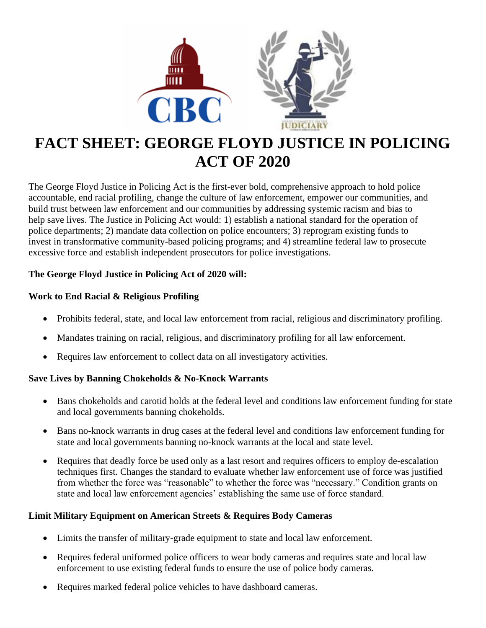

# **FACT SHEET: GEORGE FLOYD JUSTICE IN POLICING ACT OF 2020**

The George Floyd Justice in Policing Act is the first-ever bold, comprehensive approach to hold police accountable, end racial profiling, change the culture of law enforcement, empower our communities, and build trust between law enforcement and our communities by addressing systemic racism and bias to help save lives. The Justice in Policing Act would: 1) establish a national standard for the operation of police departments; 2) mandate data collection on police encounters; 3) reprogram existing funds to invest in transformative community-based policing programs; and 4) streamline federal law to prosecute excessive force and establish independent prosecutors for police investigations.

# **The George Floyd Justice in Policing Act of 2020 will:**

# **Work to End Racial & Religious Profiling**

- Prohibits federal, state, and local law enforcement from racial, religious and discriminatory profiling.
- Mandates training on racial, religious, and discriminatory profiling for all law enforcement.
- Requires law enforcement to collect data on all investigatory activities.

## **Save Lives by Banning Chokeholds & No-Knock Warrants**

- Bans chokeholds and carotid holds at the federal level and conditions law enforcement funding for state and local governments banning chokeholds.
- Bans no-knock warrants in drug cases at the federal level and conditions law enforcement funding for state and local governments banning no-knock warrants at the local and state level.
- Requires that deadly force be used only as a last resort and requires officers to employ de-escalation techniques first. Changes the standard to evaluate whether law enforcement use of force was justified from whether the force was "reasonable" to whether the force was "necessary." Condition grants on state and local law enforcement agencies' establishing the same use of force standard.

## **Limit Military Equipment on American Streets & Requires Body Cameras**

- Limits the transfer of military-grade equipment to state and local law enforcement.
- Requires federal uniformed police officers to wear body cameras and requires state and local law enforcement to use existing federal funds to ensure the use of police body cameras.
- Requires marked federal police vehicles to have dashboard cameras.